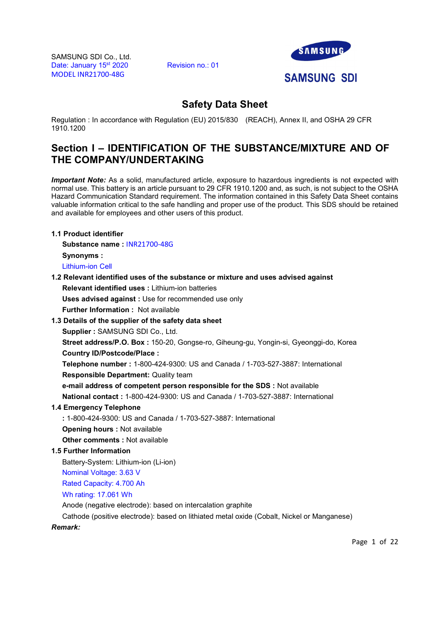

# Safety Data Sheet

Regulation : In accordance with Regulation (EU) 2015/830 (REACH), Annex II, and OSHA 29 CFR 1910.1200

# Section I – IDENTIFICATION OF THE SUBSTANCE/MIXTURE AND OF THE COMPANY/UNDERTAKING

**Important Note:** As a solid, manufactured article, exposure to hazardous ingredients is not expected with normal use. This battery is an article pursuant to 29 CFR 1910.1200 and, as such, is not subject to the OSHA Hazard Communication Standard requirement. The information contained in this Safety Data Sheet contains valuable information critical to the safe handling and proper use of the product. This SDS should be retained and available for employees and other users of this product.

# 1.1 Product identifier

Substance name : INR21700-48G

Synonyms :

Lithium-ion Cell

# 1.2 Relevant identified uses of the substance or mixture and uses advised against

Relevant identified uses : Lithium-ion batteries

Uses advised against : Use for recommended use only<br>Further Information : Not available

# 1.3 Details of the supplier of the safety data sheet

Supplier : SAMSUNG SDI Co., Ltd.

Street address/P.O. Box : 150-20, Gongse-ro, Giheung-gu, Yongin-si, Gyeonggi-do, Korea Country ID/Postcode/Place :

Telephone number : 1-800-424-9300: US and Canada / 1-703-527-3887: International Responsible Department: Quality team

e-mail address of competent person responsible for the SDS : Not available

National contact : 1-800-424-9300: US and Canada / 1-703-527-3887: International

# 1.4 Emergency Telephone

: 1-800-424-9300: US and Canada / 1-703-527-3887: International

Opening hours : Not available

Other comments : Not available

# 1.5 Further Information

Battery-System: Lithium-ion (Li-ion)

Nominal Voltage: 3.63 V

Rated Capacity: 4.700 Ah

Wh rating: 17.061 Wh

Anode (negative electrode): based on intercalation graphite

Cathode (positive electrode): based on lithiated metal oxide (Cobalt, Nickel or Manganese)

## Remark:

Page 1 of 22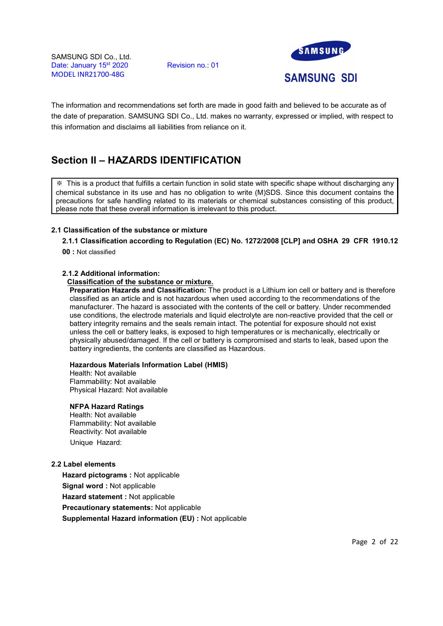

The information and recommendations set forth are made in good faith and believed to be accurate as of the date of preparation. SAMSUNG SDI Co., Ltd. makes no warranty, expressed or implied, with respect to this information and disclaims all liabilities from reliance on it.

# Section II – HAZARDS IDENTIFICATION

※ This is a product that fulfills a certain function in solid state with specific shape without discharging any chemical substance in its use and has no obligation to write (M)SDS. Since this document contains the precautions for safe handling related to its materials or chemical substances consisting of this product, please note that these overall information is irrelevant to this product.

# 2.1 Classification of the substance or mixture

2.1.1 Classification according to Regulation (EC) No. 1272/2008 [CLP] and OSHA 29 CFR 1910.12

00 : Not classified

# 2.1.2 Additional information:

# Classification of the substance or mixture.

Preparation Hazards and Classification: The product is a Lithium ion cell or battery and is therefore classified as an article and is not hazardous when used according to the recommendations of the manufacturer. The hazard is associated with the contents of the cell or battery. Under recommended use conditions, the electrode materials and liquid electrolyte are non-reactive provided that the cell or battery integrity remains and the seals remain intact. The potential for exposure should not exist unless the cell or battery leaks, is exposed to high temperatures or is mechanically, electrically or physically abused/damaged. If the cell or battery is compromised and starts to leak, based upon the battery ingredients, the contents are classified as Hazardous.

## Hazardous Materials Information Label (HMIS)

Health: Not available Flammability: Not available Physical Hazard: Not available

## NFPA Hazard Ratings

Health: Not available Flammability: Not available Reactivity: Not available Unique Hazard:

## 2.2 Label elements

Hazard pictograms : Not applicable Signal word : Not applicable Hazard statement : Not applicable Precautionary statements: Not applicable Supplemental Hazard information (EU) : Not applicable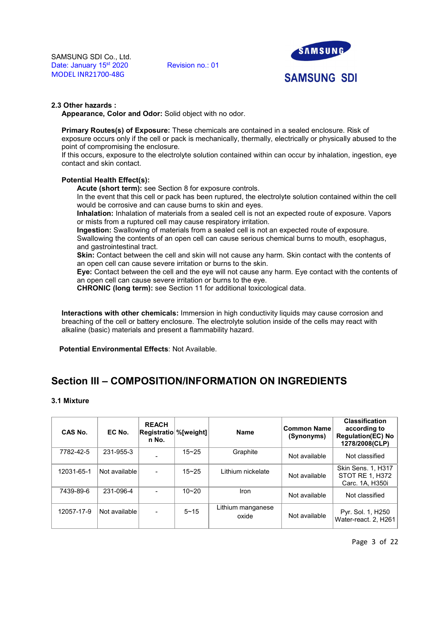

## 2.3 Other hazards :

Appearance, Color and Odor: Solid object with no odor.

Primary Routes(s) of Exposure: These chemicals are contained in a sealed enclosure. Risk of exposure occurs only if the cell or pack is mechanically, thermally, electrically or physically abused to the point of compromising the enclosure.

If this occurs, exposure to the electrolyte solution contained within can occur by inhalation, ingestion, eye contact and skin contact.

# Potential Health Effect(s):

Acute (short term): see Section 8 for exposure controls.

In the event that this cell or pack has been ruptured, the electrolyte solution contained within the cell would be corrosive and can cause burns to skin and eyes.

Inhalation: Inhalation of materials from a sealed cell is not an expected route of exposure. Vapors or mists from a ruptured cell may cause respiratory irritation.

Ingestion: Swallowing of materials from a sealed cell is not an expected route of exposure. Swallowing the contents of an open cell can cause serious chemical burns to mouth, esophagus, and gastrointestinal tract.

Skin: Contact between the cell and skin will not cause any harm. Skin contact with the contents of an open cell can cause severe irritation or burns to the skin.

Eye: Contact between the cell and the eye will not cause any harm. Eye contact with the contents of an open cell can cause severe irritation or burns to the eye.

CHRONIC (long term): see Section 11 for additional toxicological data.

Interactions with other chemicals: Immersion in high conductivity liquids may cause corrosion and breaching of the cell or battery enclosure. The electrolyte solution inside of the cells may react with alkaline (basic) materials and present a flammability hazard.

Potential Environmental Effects: Not Available.

# Section III – COMPOSITION/INFORMATION ON INGREDIENTS

## 3.1 Mixture

| CAS No.    | EC No.        | <b>REACH</b><br><b>Registratio %[weight]</b><br>n No. |           | <b>Name</b>                | <b>Common Name</b><br>(Synonyms) | <b>Classification</b><br>according to<br><b>Regulation(EC) No</b><br>1278/2008(CLP) |
|------------|---------------|-------------------------------------------------------|-----------|----------------------------|----------------------------------|-------------------------------------------------------------------------------------|
| 7782-42-5  | 231-955-3     |                                                       | $15 - 25$ | Graphite                   | Not available                    | Not classified                                                                      |
| 12031-65-1 | Not available | $\blacksquare$                                        | $15 - 25$ | Lithium nickelate          | Not available                    | <b>Skin Sens. 1, H317</b><br>STOT RE 1, H372<br>Carc. 1A, H350i                     |
| 7439-89-6  | 231-096-4     | $\sim$                                                | $10 - 20$ | Iron                       | Not available                    | Not classified                                                                      |
| 12057-17-9 | Not available | $\sim$                                                | $5 - 15$  | Lithium manganese<br>oxide | Not available                    | Pyr. Sol. 1, H250<br>Water-react. 2, H261                                           |

Page 3 of 22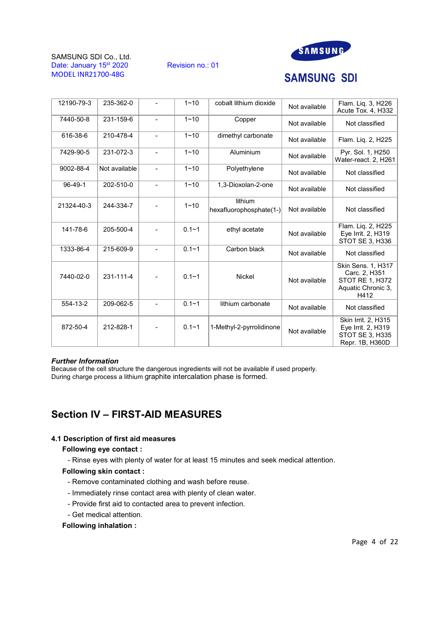





# **SAMSUNG SDI**

| 12190-79-3 | 235-362-0     | $\blacksquare$           | $1 - 10$  | cobalt lithium dioxide             | Not available | Flam. Liq. 3, H226<br>Acute Tox. 4, H332                                             |
|------------|---------------|--------------------------|-----------|------------------------------------|---------------|--------------------------------------------------------------------------------------|
| 7440-50-8  | 231-159-6     | $\blacksquare$           | $1 - 10$  | Copper                             | Not available | Not classified                                                                       |
| 616-38-6   | 210-478-4     | $\blacksquare$           | $1 - 10$  | dimethyl carbonate                 | Not available | Flam. Liq. 2, H225                                                                   |
| 7429-90-5  | 231-072-3     | $\blacksquare$           | $1 - 10$  | Aluminium                          | Not available | Pyr. Sol. 1, H250<br>Water-react. 2, H261                                            |
| 9002-88-4  | Not available | $\blacksquare$           | $1 - 10$  | Polyethylene                       | Not available | Not classified                                                                       |
| 96-49-1    | 202-510-0     | $\blacksquare$           | $1 - 10$  | 1,3-Dioxolan-2-one                 | Not available | Not classified                                                                       |
| 21324-40-3 | 244-334-7     | $\blacksquare$           | $1 - 10$  | lithium<br>hexafluorophosphate(1-) | Not available | Not classified                                                                       |
| 141-78-6   | 205-500-4     | $\blacksquare$           | $0.1 - 1$ | ethyl acetate                      | Not available | Flam. Liq. 2, H225<br>Eye Irrit. 2, H319<br>STOT SE 3, H336                          |
| 1333-86-4  | 215-609-9     | $\blacksquare$           | $0.1 - 1$ | Carbon black                       | Not available | Not classified                                                                       |
| 7440-02-0  | 231-111-4     | $\overline{\phantom{a}}$ | $0.1 - 1$ | <b>Nickel</b>                      | Not available | Skin Sens. 1, H317<br>Carc. 2, H351<br>STOT RE 1, H372<br>Aquatic Chronic 3.<br>H412 |
| 554-13-2   | 209-062-5     | $\blacksquare$           | $0.1 - 1$ | lithium carbonate                  | Not available | Not classified                                                                       |
| 872-50-4   | 212-828-1     | $\blacksquare$           | $0.1 - 1$ | 1-Methyl-2-pyrrolidinone           | Not available | Skin Irrit. 2, H315<br>Eye Irrit. 2, H319<br><b>STOT SE 3, H335</b>                  |

## Further Information

Because of the cell structure the dangerous ingredients will not be available if used properly. During charge process a lithium graphite intercalation phase is formed.

# Section IV – FIRST-AID MEASURES

## 4.1 Description of first aid measures

# Following eye contact :

- Rinse eyes with plenty of water for at least 15 minutes and seek medical attention.

## Following skin contact :

- Remove contaminated clothing and wash before reuse.
- Immediately rinse contact area with plenty of clean water.
- Provide first aid to contacted area to prevent infection.
- Get medical attention.

# Following inhalation :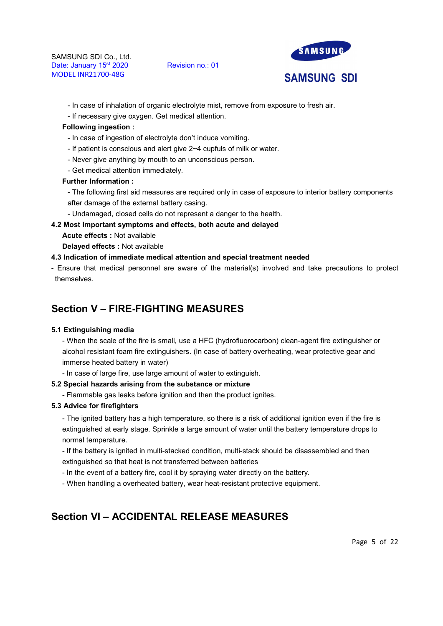

- In case of inhalation of organic electrolyte mist, remove from exposure to fresh air.
- If necessary give oxygen. Get medical attention.

#### Following ingestion :

- In case of ingestion of electrolyte don't induce vomiting.
- If patient is conscious and alert give 2~4 cupfuls of milk or water.
- Never give anything by mouth to an unconscious person.
- Get medical attention immediately.

#### Further Information :

- The following first aid measures are required only in case of exposure to interior battery components after damage of the external battery casing.
- Undamaged, closed cells do not represent a danger to the health.
- 4.2 Most important symptoms and effects, both acute and delayed
	- Acute effects : Not available
	- Delayed effects : Not available

## 4.3 Indication of immediate medical attention and special treatment needed

- Ensure that medical personnel are aware of the material(s) involved and take precautions to protect themselves.

# Section V – FIRE-FIGHTING MEASURES

## 5.1 Extinguishing media

- When the scale of the fire is small, use a HFC (hydrofluorocarbon) clean-agent fire extinguisher or alcohol resistant foam fire extinguishers. (In case of battery overheating, wear protective gear and immerse heated battery in water)

- In case of large fire, use large amount of water to extinguish.

## 5.2 Special hazards arising from the substance or mixture

- Flammable gas leaks before ignition and then the product ignites.

# 5.3 Advice for firefighters

- The ignited battery has a high temperature, so there is a risk of additional ignition even if the fire is extinguished at early stage. Sprinkle a large amount of water until the battery temperature drops to normal temperature.

- If the battery is ignited in multi-stacked condition, multi-stack should be disassembled and then extinguished so that heat is not transferred between batteries

- In the event of a battery fire, cool it by spraying water directly on the battery.
- When handling a overheated battery, wear heat-resistant protective equipment.

# Section VI – ACCIDENTAL RELEASE MEASURES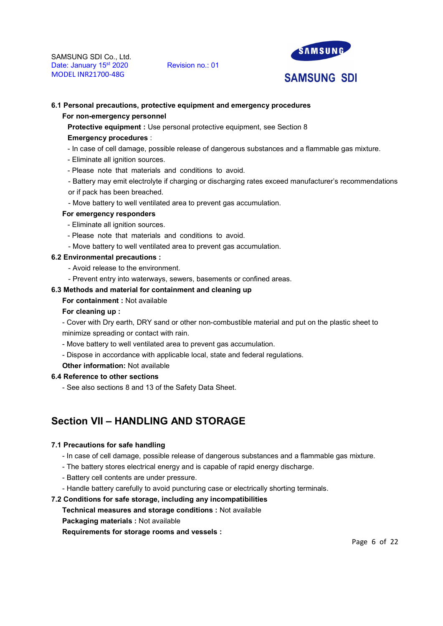

## 6.1 Personal precautions, protective equipment and emergency procedures

#### For non-emergency personnel

Protective equipment : Use personal protective equipment, see Section 8

#### Emergency procedures :

- In case of cell damage, possible release of dangerous substances and a flammable gas mixture.
- Eliminate all ignition sources.
- Please note that materials and conditions to avoid.
- Battery may emit electrolyte if charging or discharging rates exceed manufacturer's recommendations or if pack has been breached.
- Move battery to well ventilated area to prevent gas accumulation.

#### For emergency responders

- Eliminate all ignition sources.
- Please note that materials and conditions to avoid.
- Move battery to well ventilated area to prevent gas accumulation.

# 6.2 Environmental precautions :

- Avoid release to the environment.
- Prevent entry into waterways, sewers, basements or confined areas.

# 6.3 Methods and material for containment and cleaning up

## For containment : Not available

#### For cleaning up :

- Cover with Dry earth, DRY sand or other non-combustible material and put on the plastic sheet to minimize spreading or contact with rain.

- Move battery to well ventilated area to prevent gas accumulation.
- Dispose in accordance with applicable local, state and federal regulations.

#### Other information: Not available

#### 6.4 Reference to other sections

- See also sections 8 and 13 of the Safety Data Sheet.

# Section VII – HANDLING AND STORAGE

#### 7.1 Precautions for safe handling

- In case of cell damage, possible release of dangerous substances and a flammable gas mixture.
- The battery stores electrical energy and is capable of rapid energy discharge.
- Battery cell contents are under pressure.
- Handle battery carefully to avoid puncturing case or electrically shorting terminals.

#### 7.2 Conditions for safe storage, including any incompatibilities

- Technical measures and storage conditions : Not available
- Packaging materials : Not available

Requirements for storage rooms and vessels :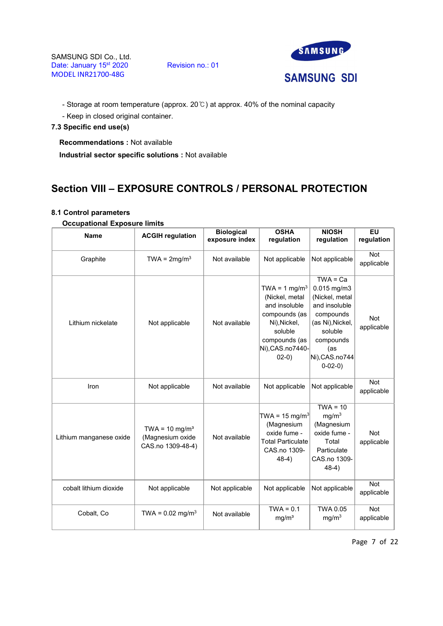SAMSUNG SDI Co., Ltd.<br>Date: January 15<sup>st</sup> 2020 Revision no.: 01 Date: January 15<sup>st</sup> 2020 MODEL INR21700-48G



- Storage at room temperature (approx. 20℃) at approx. 40% of the nominal capacity

- Keep in closed original container.

# 7.3 Specific end use(s)

Recommendations : Not available

Industrial sector specific solutions : Not available

# Section VIII – EXPOSURE CONTROLS / PERSONAL PROTECTION

# 8.1 Control parameters

# Occupational Exposure limits

| <b>Name</b>             | <b>ACGIH regulation</b>                                            | <b>Biological</b><br>exposure index | <b>OSHA</b><br>regulation                                                                                                                               | <b>NIOSH</b><br>regulation                                                                                                                                     | $E$ U<br>regulation      |
|-------------------------|--------------------------------------------------------------------|-------------------------------------|---------------------------------------------------------------------------------------------------------------------------------------------------------|----------------------------------------------------------------------------------------------------------------------------------------------------------------|--------------------------|
| Graphite                | TWA = $2mg/m3$                                                     | Not available                       | Not applicable                                                                                                                                          | Not applicable                                                                                                                                                 | <b>Not</b><br>applicable |
| Lithium nickelate       | Not applicable                                                     | Not available                       | TWA = $1 \text{ mg/m}^3$<br>(Nickel, metal<br>and insoluble<br>compounds (as<br>Ni), Nickel,<br>soluble<br>compounds (as<br>Ni), CAS.no7440-<br>$02-0)$ | $TWA = Ca$<br>0.015 mg/m3<br>(Nickel, metal<br>and insoluble<br>compounds<br>(as Ni), Nickel,<br>soluble<br>compounds<br>(as<br>Ni), CAS.no744<br>$0 - 02 - 0$ | <b>Not</b><br>applicable |
| Iron                    | Not applicable                                                     | Not available                       | Not applicable                                                                                                                                          | Not applicable                                                                                                                                                 | <b>Not</b><br>applicable |
| Lithium manganese oxide | TWA = $10 \text{ mg/m}^3$<br>(Magnesium oxide<br>CAS.no 1309-48-4) | Not available                       | TWA = 15 mg/m <sup>3</sup><br>(Magnesium<br>oxide fume -<br><b>Total Particulate</b><br>CAS.no 1309-<br>$48-4)$                                         | $TWA = 10$<br>mg/m <sup>3</sup><br>(Magnesium<br>oxide fume -<br>Total<br>Particulate<br>CAS.no 1309-<br>$48-4)$                                               | <b>Not</b><br>applicable |
| cobalt lithium dioxide  | Not applicable                                                     | Not applicable                      | Not applicable                                                                                                                                          | Not applicable                                                                                                                                                 | Not<br>applicable        |
| Cobalt, Co              | TWA = $0.02 \text{ mg/m}^3$                                        | Not available                       | $TWA = 0.1$<br>mg/m <sup>3</sup>                                                                                                                        | <b>TWA 0.05</b><br>mg/m <sup>3</sup>                                                                                                                           | Not<br>applicable        |

Page 7 of 22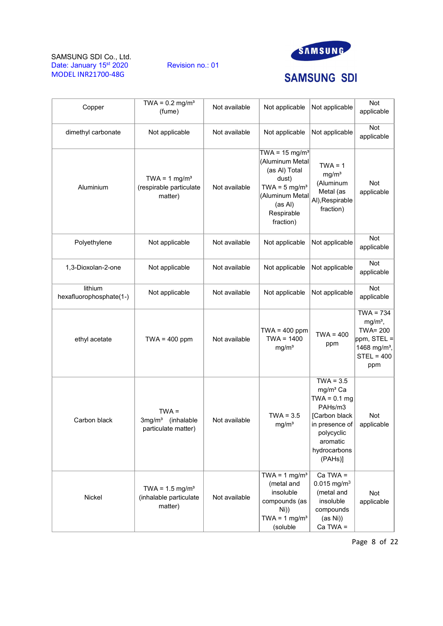



# **SAMSUNG SDI**

| Copper                             | TWA = $0.2$ mg/m <sup>3</sup><br>(fume)                         | Not available | Not applicable                                                                                                                                              | Not applicable                                                                                                                                           | Not<br>applicable                                                                                               |
|------------------------------------|-----------------------------------------------------------------|---------------|-------------------------------------------------------------------------------------------------------------------------------------------------------------|----------------------------------------------------------------------------------------------------------------------------------------------------------|-----------------------------------------------------------------------------------------------------------------|
| dimethyl carbonate                 | Not applicable                                                  | Not available | Not applicable                                                                                                                                              | Not applicable                                                                                                                                           | Not<br>applicable                                                                                               |
| Aluminium                          | TWA = $1 \text{ mg/m}^3$<br>(respirable particulate<br>matter)  | Not available | TWA = $15 \text{ mg/m}^3$<br>(Aluminum Metal<br>(as Al) Total<br>dust)<br>TWA = $5 \text{ mg/m}^3$<br>(Aluminum Metal<br>(as Al)<br>Respirable<br>fraction) | $TWA = 1$<br>mg/m <sup>3</sup><br>(Aluminum<br>Metal (as<br>Al), Respirable<br>fraction)                                                                 | Not<br>applicable                                                                                               |
| Polyethylene                       | Not applicable                                                  | Not available | Not applicable                                                                                                                                              | Not applicable                                                                                                                                           | Not<br>applicable                                                                                               |
| 1,3-Dioxolan-2-one                 | Not applicable                                                  | Not available | Not applicable                                                                                                                                              | Not applicable                                                                                                                                           | Not<br>applicable                                                                                               |
| lithium<br>hexafluorophosphate(1-) | Not applicable                                                  | Not available | Not applicable                                                                                                                                              | Not applicable                                                                                                                                           | Not<br>applicable                                                                                               |
| ethyl acetate                      | $TWA = 400$ ppm                                                 | Not available | $TWA = 400$ ppm<br>$TWA = 1400$<br>mg/m <sup>3</sup>                                                                                                        | $TWA = 400$<br>ppm                                                                                                                                       | $TWA = 734$<br>$mg/m3$ ,<br><b>TWA= 200</b><br>$ppm,$ STEL =<br>1468 mg/m <sup>3</sup> ,<br>$STEL = 400$<br>ppm |
| Carbon black                       | $TWA =$<br>$3mg/m3$ (inhalable<br>particulate matter)           | Not available | $TWA = 3.5$<br>mg/m <sup>3</sup>                                                                                                                            | $TWA = 3.5$<br>mg/m <sup>3</sup> Ca<br>$TWA = 0.1 mg$<br>PAHs/m3<br>[Carbon black<br>in presence of<br>polycyclic<br>aromatic<br>hydrocarbons<br>(PAHs)] | Not<br>applicable                                                                                               |
| Nickel                             | TWA = $1.5 \text{ mg/m}^3$<br>(inhalable particulate<br>matter) | Not available | TWA = $1 \text{ mg/m}^3$<br>(metal and<br>insoluble<br>compounds (as<br>$Ni$ )<br>TWA = $1 \text{ mg/m}^3$<br>(soluble                                      | $Ca TWA =$<br>$0.015$ mg/m <sup>3</sup><br>(metal and<br>insoluble<br>compounds<br>(as Ni))<br>$Ca TWA =$                                                | Not<br>applicable                                                                                               |

Page 8 of 22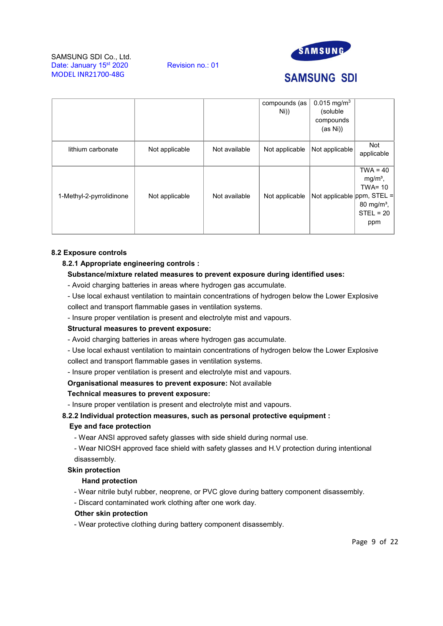

# **SAMSUNG SDI**

|                          |                |               | compounds (as  | $0.015$ mg/m <sup>3</sup>     |                                                                                                         |  |
|--------------------------|----------------|---------------|----------------|-------------------------------|---------------------------------------------------------------------------------------------------------|--|
|                          |                |               | Ni))           | (soluble                      |                                                                                                         |  |
|                          |                |               |                | compounds                     |                                                                                                         |  |
|                          |                |               |                | (as Ni))                      |                                                                                                         |  |
| lithium carbonate        | Not applicable | Not available | Not applicable | Not applicable                | Not<br>applicable                                                                                       |  |
| 1-Methyl-2-pyrrolidinone | Not applicable | Not available | Not applicable | Not applicable $ppm$ , STEL = | $\overline{\text{TWA}}$ = 40<br>$mg/m3$ ,<br>$TWA = 10$<br>80 mg/m <sup>3</sup> ,<br>$STEL = 20$<br>ppm |  |

# 8.2 Exposure controls

# 8.2.1 Appropriate engineering controls :

# Substance/mixture related measures to prevent exposure during identified uses:

- Avoid charging batteries in areas where hydrogen gas accumulate.
- Use local exhaust ventilation to maintain concentrations of hydrogen below the Lower Explosive collect and transport flammable gases in ventilation systems.
- Insure proper ventilation is present and electrolyte mist and vapours.

## Structural measures to prevent exposure:

- Avoid charging batteries in areas where hydrogen gas accumulate.
- Use local exhaust ventilation to maintain concentrations of hydrogen below the Lower Explosive collect and transport flammable gases in ventilation systems.
- Insure proper ventilation is present and electrolyte mist and vapours.

## Organisational measures to prevent exposure: Not available

## Technical measures to prevent exposure:

- Insure proper ventilation is present and electrolyte mist and vapours.

# 8.2.2 Individual protection measures, such as personal protective equipment :

# Eye and face protection

- Wear ANSI approved safety glasses with side shield during normal use.

- Wear NIOSH approved face shield with safety glasses and H.V protection during intentional disassembly.

## Skin protection

# Hand protection

- Wear nitrile butyl rubber, neoprene, or PVC glove during battery component disassembly.

- Discard contaminated work clothing after one work day.

## Other skin protection

- Wear protective clothing during battery component disassembly.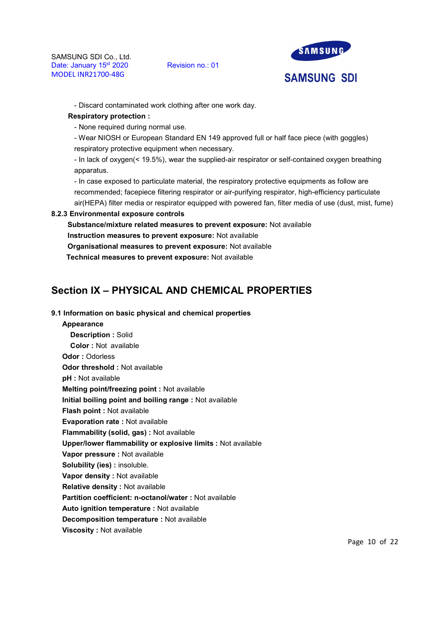

- Discard contaminated work clothing after one work day.

# Respiratory protection :

- None required during normal use.

- Wear NIOSH or European Standard EN 149 approved full or half face piece (with goggles) respiratory protective equipment when necessary.

- In lack of oxygen(< 19.5%), wear the supplied-air respirator or self-contained oxygen breathing apparatus.

- In case exposed to particulate material, the respiratory protective equipments as follow are recommended; facepiece filtering respirator or air-purifying respirator, high-efficiency particulate air(HEPA) filter media or respirator equipped with powered fan, filter media of use (dust, mist, fume)

# 8.2.3 Environmental exposure controls

Substance/mixture related measures to prevent exposure: Not available Instruction measures to prevent exposure: Not available Organisational measures to prevent exposure: Not available Technical measures to prevent exposure: Not available

# Section IX – PHYSICAL AND CHEMICAL PROPERTIES

## 9.1 Information on basic physical and chemical properties

## Appearance

Description : Solid Color : Not available Odor : Odorless Odor threshold : Not available pH : Not available Melting point/freezing point : Not available Initial boiling point and boiling range : Not available Flash point : Not available Evaporation rate : Not available Flammability (solid, gas) : Not available Upper/lower flammability or explosive limits : Not available Vapor pressure : Not available Solubility (ies) : insoluble. Vapor density : Not available Relative density : Not available Partition coefficient: n-octanol/water : Not available Auto ignition temperature : Not available Decomposition temperature : Not available

## Viscosity : Not available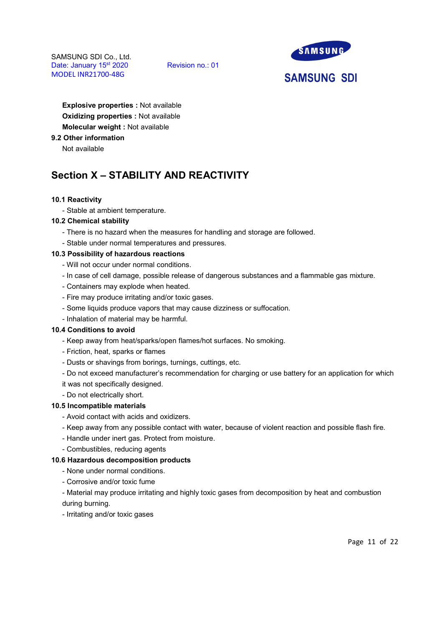

**SAMSUNG SDI** 

Explosive properties : Not available Oxidizing properties : Not available Molecular weight : Not available

9.2 Other information

Not available

# Section X – STABILITY AND REACTIVITY

# 10.1 Reactivity

- Stable at ambient temperature.

## 10.2 Chemical stability

- There is no hazard when the measures for handling and storage are followed.
- Stable under normal temperatures and pressures.

## 10.3 Possibility of hazardous reactions

- Will not occur under normal conditions.
- In case of cell damage, possible release of dangerous substances and a flammable gas mixture.
- Containers may explode when heated.
- Fire may produce irritating and/or toxic gases.
- Some liquids produce vapors that may cause dizziness or suffocation.
- Inhalation of material may be harmful.

## 10.4 Conditions to avoid

- Keep away from heat/sparks/open flames/hot surfaces. No smoking.
- Friction, heat, sparks or flames
- Dusts or shavings from borings, turnings, cuttings, etc.
- Do not exceed manufacturer's recommendation for charging or use battery for an application for which
- it was not specifically designed.
- Do not electrically short.

## 10.5 Incompatible materials

- Avoid contact with acids and oxidizers.
- Keep away from any possible contact with water, because of violent reaction and possible flash fire.
- Handle under inert gas. Protect from moisture.
- Combustibles, reducing agents

# 10.6 Hazardous decomposition products

- None under normal conditions.
- Corrosive and/or toxic fume

- Material may produce irritating and highly toxic gases from decomposition by heat and combustion during burning.

- Irritating and/or toxic gases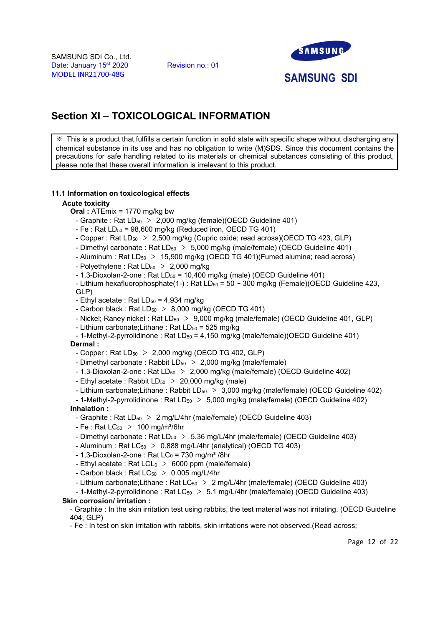

# Section XI – TOXICOLOGICAL INFORMATION

※ This is a product that fulfills a certain function in solid state with specific shape without discharging any chemical substance in its use and has no obligation to write (M)SDS. Since this document contains the precautions for safe handling related to its materials or chemical substances consisting of this product, please note that these overall information is irrelevant to this product.

# 11.1 Information on toxicological effects

## Acute toxicity

Oral : ATEmix = 1770 mg/kg bw

- Graphite : Rat  $LD_{50} > 2,000$  mg/kg (female)(OECD Guideline 401)
- $-$  Fe : Rat LD<sub>50</sub> = 98,600 mg/kg (Reduced iron, OECD TG 401)
- Copper : Rat LD<sub>50</sub> > 2,500 mg/kg (Cupric oxide; read across)(OECD TG 423, GLP)
- Dimethyl carbonate : Rat  $LD_{50} > 5,000$  mg/kg (male/female) (OECD Guideline 401)
- Aluminum : Rat  $LD_{50} > 15,900$  mg/kg (OECD TG 401)(Fumed alumina; read across)
- Polyethylene : Rat  $LD_{50} > 2,000$  mg/kg
- $-1.3$ -Dioxolan-2-one : Rat LD $_{50}$  = 10.400 mg/kg (male) (OECD Guideline 401)
- Lithium hexafluorophosphate(1-) : Rat LD $_{50}$  = 50  $\sim$  300 mg/kg (Female)(OECD Guideline 423,

GLP)

- Ethyl acetate : Rat  $LD_{50} = 4.934$  mg/kg
- Carbon black : Rat  $LD_{50} > 8,000$  mg/kg (OECD TG 401)
- Nickel; Raney nickel : Rat  $LD_{50} > 9,000$  mg/kg (male/female) (OECD Guideline 401, GLP)
- Lithium carbonate; Lithane: Rat  $LD_{50} = 525$  mg/kg
- 1-Methyl-2-pyrrolidinone : Rat  $LD_{50} = 4,150$  mg/kg (male/female)(OECD Guideline 401)

Dermal :

- Copper : Rat  $LD_{50} > 2,000$  mg/kg (OECD TG 402, GLP)
- Dimethyl carbonate : Rabbit  $LD_{50} > 2,000$  mg/kg (male/female)
- 1,3-Dioxolan-2-one : Rat  $LD_{50} > 2,000$  mg/kg (male/female) (OECD Guideline 402)
- Ethyl acetate : Rabbit  $LD_{50} > 20,000$  mg/kg (male)
- Lithium carbonate;Lithane: Rabbit  $LD_{50} > 3,000$  mg/kg (male/female) (OECD Guideline 402)
- 1-Methyl-2-pyrrolidinone : Rat  $LD_{50} > 5,000$  mg/kg (male/female) (OECD Guideline 402) Inhalation :
	- Graphite : Rat LD<sub>50</sub> > 2 mg/L/4hr (male/female) (OECD Guideline 403)
	- $Fe$  : Rat  $LC_{50} > 100$  mg/m<sup>3</sup>/6hr
	- Dimethyl carbonate : Rat  $LD_{50} > 5.36$  mg/L/4hr (male/female) (OECD Guideline 403)
- Aluminum : Rat  $LC_{50}$  > 0.888 mg/L/4hr (analytical) (OECD TG 403)
- $-1.3$ -Dioxolan-2-one : Rat LC $_0$  = 730 mg/m<sup>3</sup>/8hr
- Ethyl acetate : Rat LCL $_0$  > 6000 ppm (male/female)
- Carbon black : Rat  $LC_{50}$  > 0.005 mg/L/4hr
- Lithium carbonate;Lithane : Rat LC<sub>50</sub> > 2 mg/L/4hr (male/female) (OECD Guideline 403)
- 1-Methyl-2-pyrrolidinone: Rat  $LC_{50}$  > 5.1 mg/L/4hr (male/female) (OECD Guideline 403) Skin corrosion/ irritation :

- Graphite : In the skin irritation test using rabbits, the test material was not irritating. (OECD Guideline 404, GLP)

- Fe : In test on skin irritation with rabbits, skin irritations were not observed.(Read across;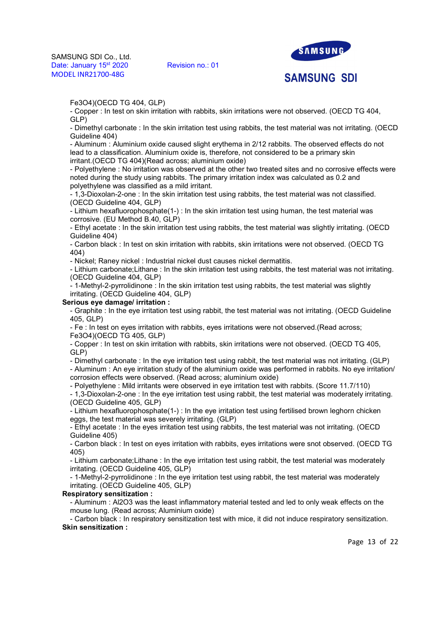SAMSUNG SDI Co., Ltd.<br>Date: January 15<sup>st</sup> 2020 Revision no.: 01 Date: January 15<sup>st</sup> 2020 MODEL INR21700-48G



**SAMSUNG SDI** 

Fe3O4)(OECD TG 404, GLP)

- Copper : In test on skin irritation with rabbits, skin irritations were not observed. (OECD TG 404, GLP)

- Dimethyl carbonate : In the skin irritation test using rabbits, the test material was not irritating. (OECD Guideline 404)

- Aluminum : Aluminium oxide caused slight erythema in 2/12 rabbits. The observed effects do not lead to a classification. Aluminium oxide is, therefore, not considered to be a primary skin irritant.(OECD TG 404)(Read across; aluminium oxide)

- Polyethylene : No irritation was observed at the other two treated sites and no corrosive effects were noted during the study using rabbits. The primary irritation index was calculated as 0.2 and polyethylene was classified as a mild irritant.

- 1,3-Dioxolan-2-one : In the skin irritation test using rabbits, the test material was not classified. (OECD Guideline 404, GLP)

- Lithium hexafluorophosphate(1-) : In the skin irritation test using human, the test material was corrosive. (EU Method B.40, GLP)

- Ethyl acetate : In the skin irritation test using rabbits, the test material was slightly irritating. (OECD Guideline 404)

- Carbon black : In test on skin irritation with rabbits, skin irritations were not observed. (OECD TG 404)

- Nickel; Raney nickel : Industrial nickel dust causes nickel dermatitis.

- Lithium carbonate;Lithane : In the skin irritation test using rabbits, the test material was not irritating. (OECD Guideline 404, GLP)

- 1-Methyl-2-pyrrolidinone : In the skin irritation test using rabbits, the test material was slightly irritating. (OECD Guideline 404, GLP)

#### Serious eye damage/ irritation :

- Graphite : In the eye irritation test using rabbit, the test material was not irritating. (OECD Guideline 405, GLP)

- Fe : In test on eyes irritation with rabbits, eyes irritations were not observed.(Read across; Fe3O4)(OECD TG 405, GLP)

- Copper : In test on skin irritation with rabbits, skin irritations were not observed. (OECD TG 405, GLP)

- Dimethyl carbonate : In the eye irritation test using rabbit, the test material was not irritating. (GLP) - Aluminum : An eye irritation study of the aluminium oxide was performed in rabbits. No eye irritation/ corrosion effects were observed. (Read across; aluminium oxide)

- Polyethylene : Mild irritants were observed in eye irritation test with rabbits. (Score 11.7/110)

- 1,3-Dioxolan-2-one : In the eye irritation test using rabbit, the test material was moderately irritating. (OECD Guideline 405, GLP)

- Lithium hexafluorophosphate(1-) : In the eye irritation test using fertilised brown leghorn chicken eggs, the test material was severely irritating. (GLP)

- Ethyl acetate : In the eyes irritation test using rabbits, the test material was not irritating. (OECD Guideline 405)

- Carbon black : In test on eyes irritation with rabbits, eyes irritations were snot observed. (OECD TG 405)

- Lithium carbonate;Lithane : In the eye irritation test using rabbit, the test material was moderately irritating. (OECD Guideline 405, GLP)

- 1-Methyl-2-pyrrolidinone : In the eye irritation test using rabbit, the test material was moderately irritating. (OECD Guideline 405, GLP)

# Respiratory sensitization :

- Aluminum : Al2O3 was the least inflammatory material tested and led to only weak effects on the mouse lung. (Read across; Aluminium oxide)

- Carbon black : In respiratory sensitization test with mice, it did not induce respiratory sensitization. Skin sensitization :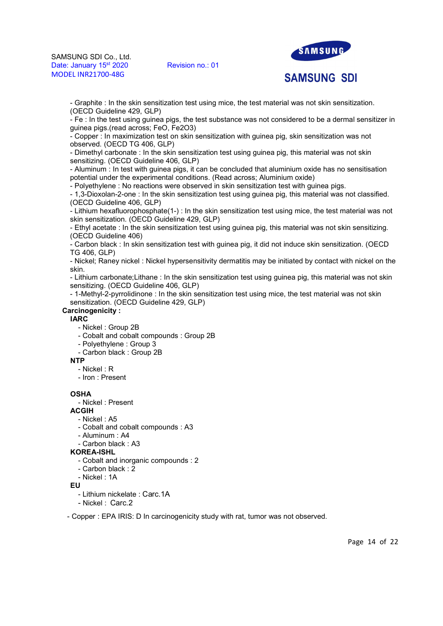

# **SAMSUNG SDI**

- Graphite : In the skin sensitization test using mice, the test material was not skin sensitization. (OECD Guideline 429, GLP)

- Fe : In the test using guinea pigs, the test substance was not considered to be a dermal sensitizer in guinea pigs.(read across; FeO, Fe2O3)

- Copper : In maximization test on skin sensitization with guinea pig, skin sensitization was not observed. (OECD TG 406, GLP)

- Dimethyl carbonate : In the skin sensitization test using guinea pig, this material was not skin sensitizing. (OECD Guideline 406, GLP)

- Aluminum : In test with guinea pigs, it can be concluded that aluminium oxide has no sensitisation potential under the experimental conditions. (Read across; Aluminium oxide)

- Polyethylene : No reactions were observed in skin sensitization test with guinea pigs.

- 1,3-Dioxolan-2-one : In the skin sensitization test using guinea pig, this material was not classified. (OECD Guideline 406, GLP)

- Lithium hexafluorophosphate(1-) : In the skin sensitization test using mice, the test material was not skin sensitization. (OECD Guideline 429, GLP)

- Ethyl acetate : In the skin sensitization test using guinea pig, this material was not skin sensitizing. (OECD Guideline 406)

- Carbon black : In skin sensitization test with guinea pig, it did not induce skin sensitization. (OECD TG 406, GLP)

- Nickel; Raney nickel : Nickel hypersensitivity dermatitis may be initiated by contact with nickel on the skin.

- Lithium carbonate;Lithane : In the skin sensitization test using guinea pig, this material was not skin sensitizing. (OECD Guideline 406, GLP)

- 1-Methyl-2-pyrrolidinone : In the skin sensitization test using mice, the test material was not skin sensitization. (OECD Guideline 429, GLP)

# Carcinogenicity :

IARC

- Nickel : Group 2B
- Cobalt and cobalt compounds : Group 2B
- Polyethylene : Group 3
- Carbon black : Group 2B

#### NTP

- Nickel : R
- Iron : Present

## **OSHA**

- Nickel : Present

ACGIH

- Nickel : A5
- Cobalt and cobalt compounds : A3
- Aluminum : A4
- Carbon black : A3

KOREA-ISHL

- Cobalt and inorganic compounds : 2
- Carbon black : 2
- Nickel : 1A

EU

- Lithium nickelate : Carc.1A - Nickel : Carc.2

- Copper : EPA IRIS: D In carcinogenicity study with rat, tumor was not observed.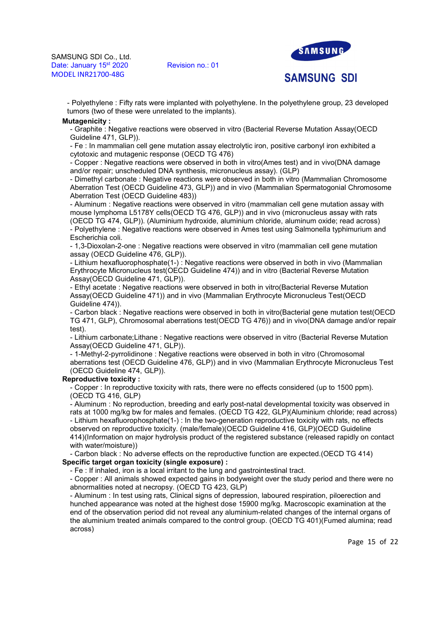

**SAMSUNG SDI** 

- Polyethylene : Fifty rats were implanted with polyethylene. In the polyethylene group, 23 developed tumors (two of these were unrelated to the implants).

#### **Mutagenicity:**

- Graphite : Negative reactions were observed in vitro (Bacterial Reverse Mutation Assay(OECD Guideline 471, GLP)).

- Fe : In mammalian cell gene mutation assay electrolytic iron, positive carbonyl iron exhibited a cytotoxic and mutagenic response (OECD TG 476)

- Copper : Negative reactions were observed in both in vitro(Ames test) and in vivo(DNA damage and/or repair; unscheduled DNA synthesis, micronucleus assay). (GLP)

- Dimethyl carbonate : Negative reactions were observed in both in vitro (Mammalian Chromosome Aberration Test (OECD Guideline 473, GLP)) and in vivo (Mammalian Spermatogonial Chromosome Aberration Test (OECD Guideline 483))

- Aluminum : Negative reactions were observed in vitro (mammalian cell gene mutation assay with mouse lymphoma L5178Y cells(OECD TG 476, GLP)) and in vivo (micronucleus assay with rats (OECD TG 474, GLP)). (Aluminium hydroxide, aluminium chloride, aluminum oxide; read across) - Polyethylene : Negative reactions were observed in Ames test using Salmonella typhimurium and Escherichia coli.

- 1,3-Dioxolan-2-one : Negative reactions were observed in vitro (mammalian cell gene mutation assay (OECD Guideline 476, GLP)).

- Lithium hexafluorophosphate(1-) : Negative reactions were observed in both in vivo (Mammalian Erythrocyte Micronucleus test(OECD Guideline 474)) and in vitro (Bacterial Reverse Mutation Assay(OECD Guideline 471, GLP)).

- Ethyl acetate : Negative reactions were observed in both in vitro(Bacterial Reverse Mutation Assay(OECD Guideline 471)) and in vivo (Mammalian Erythrocyte Micronucleus Test(OECD Guideline 474)).

- Carbon black : Negative reactions were observed in both in vitro(Bacterial gene mutation test(OECD TG 471, GLP), Chromosomal aberrations test(OECD TG 476)) and in vivo(DNA damage and/or repair test).

- Lithium carbonate;Lithane : Negative reactions were observed in vitro (Bacterial Reverse Mutation Assay(OECD Guideline 471, GLP)).

- 1-Methyl-2-pyrrolidinone : Negative reactions were observed in both in vitro (Chromosomal aberrations test (OECD Guideline 476, GLP)) and in vivo (Mammalian Erythrocyte Micronucleus Test (OECD Guideline 474, GLP)).

## Reproductive toxicity :

- Copper : In reproductive toxicity with rats, there were no effects considered (up to 1500 ppm). (OECD TG 416, GLP)

- Aluminum : No reproduction, breeding and early post-natal developmental toxicity was observed in rats at 1000 mg/kg bw for males and females. (OECD TG 422, GLP)(Aluminium chloride; read across) - Lithium hexafluorophosphate(1-) : In the two-generation reproductive toxicity with rats, no effects observed on reproductive toxicity. (male/female)(OECD Guideline 416, GLP)(OECD Guideline 414)(Information on major hydrolysis product of the registered substance (released rapidly on contact with water/moisture))

- Carbon black : No adverse effects on the reproductive function are expected.(OECD TG 414) Specific target organ toxicity (single exposure) :

- Fe : If inhaled, iron is a local irritant to the lung and gastrointestinal tract.

- Copper : All animals showed expected gains in bodyweight over the study period and there were no abnormalities noted at necropsy. (OECD TG 423, GLP)

- Aluminum : In test using rats, Clinical signs of depression, laboured respiration, piloerection and hunched appearance was noted at the highest dose 15900 mg/kg. Macroscopic examination at the end of the observation period did not reveal any aluminium-related changes of the internal organs of the aluminium treated animals compared to the control group. (OECD TG 401)(Fumed alumina; read across)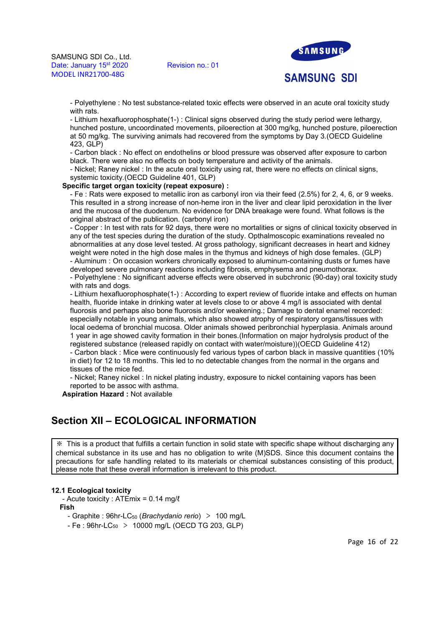

- Polyethylene : No test substance-related toxic effects were observed in an acute oral toxicity study

with rats. - Lithium hexafluorophosphate(1-) : Clinical signs observed during the study period were lethargy, hunched posture, uncoordinated movements, piloerection at 300 mg/kg, hunched posture, piloerection at 50 mg/kg. The surviving animals had recovered from the symptoms by Day 3.(OECD Guideline 423, GLP)

- Carbon black : No effect on endothelins or blood pressure was observed after exposure to carbon black. There were also no effects on body temperature and activity of the animals.

- Nickel; Raney nickel : In the acute oral toxicity using rat, there were no effects on clinical signs, systemic toxicity.(OECD Guideline 401, GLP)

#### Specific target organ toxicity (repeat exposure) :

- Fe : Rats were exposed to metallic iron as carbonyl iron via their feed (2.5%) for 2, 4, 6, or 9 weeks. This resulted in a strong increase of non-heme iron in the liver and clear lipid peroxidation in the liver and the mucosa of the duodenum. No evidence for DNA breakage were found. What follows is the original abstract of the publication. (carbonyl iron)

- Copper : In test with rats for 92 days, there were no mortalities or signs of clinical toxicity observed in any of the test species during the duration of the study. Opthalmoscopic examinations revealed no abnormalities at any dose level tested. At gross pathology, significant decreases in heart and kidney weight were noted in the high dose males in the thymus and kidneys of high dose females. (GLP) - Aluminum : On occasion workers chronically exposed to aluminum-containing dusts or fumes have developed severe pulmonary reactions including fibrosis, emphysema and pneumothorax.

- Polyethylene : No significant adverse effects were observed in subchronic (90-day) oral toxicity study with rats and dogs.

- Lithium hexafluorophosphate(1-) : According to expert review of fluoride intake and effects on human health, fluoride intake in drinking water at levels close to or above 4 mg/l is associated with dental fluorosis and perhaps also bone fluorosis and/or weakening.; Damage to dental enamel recorded: especially notable in young animals, which also showed atrophy of respiratory organs/tissues with local oedema of bronchial mucosa. Older animals showed peribronchial hyperplasia. Animals around 1 year in age showed cavity formation in their bones.(Information on major hydrolysis product of the registered substance (released rapidly on contact with water/moisture))(OECD Guideline 412) - Carbon black : Mice were continuously fed various types of carbon black in massive quantities (10% in diet) for 12 to 18 months. This led to no detectable changes from the normal in the organs and tissues of the mice fed.

- Nickel; Raney nickel : In nickel plating industry, exposure to nickel containing vapors has been reported to be assoc with asthma.

Aspiration Hazard : Not available

# Section XII – ECOLOGICAL INFORMATION

※ This is a product that fulfills a certain function in solid state with specific shape without discharging any chemical substance in its use and has no obligation to write (M)SDS. Since this document contains the precautions for safe handling related to its materials or chemical substances consisting of this product, please note that these overall information is irrelevant to this product.

#### 12.1 Ecological toxicity

- Acute toxicity : ATEmix = 0.14 mg/ℓ

Fish

- Graphite : 96hr-LC<sub>50</sub> (Brachydanio rerio) > 100 mg/L

 $- Fe : 96$ hr-LC $_{50} > 10000$  mg/L (OECD TG 203, GLP)

Page 16 of 22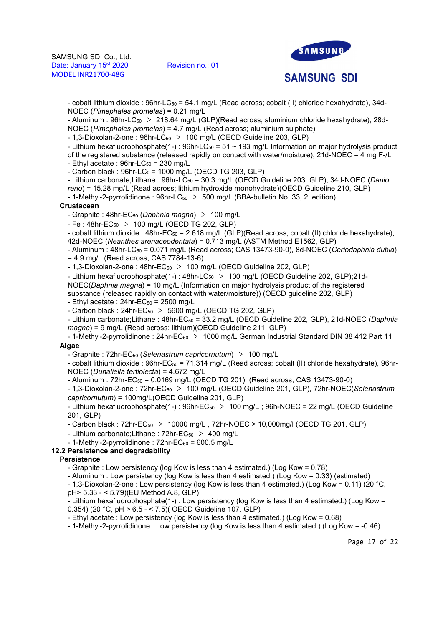

**SAMSUNG SDI** 

- cobalt lithium dioxide : 96hr-LC50 = 54.1 mg/L (Read across; cobalt (II) chloride hexahydrate), 34d-NOEC (Pimephales promelas) = 0.21 mg/L

- Aluminum : 96hr-LC<sub>50</sub> > 218.64 mg/L (GLP)(Read across; aluminium chloride hexahydrate), 28d-NOEC (Pimephales promelas) = 4.7 mg/L (Read across; aluminium sulphate)

 $-1.3$ -Dioxolan-2-one : 96hr-LC $_{50}$  > 100 mg/L (OECD Guideline 203, GLP)

- Lithium hexafluorophosphate(1-) :  $96$ hr-LC<sub>50</sub> = 51 ~ 193 mg/L Information on major hydrolysis product

of the registered substance (released rapidly on contact with water/moisture); 21d-NOEC = 4 mg F-/L

- Ethyl acetate :  $96$ hr-LC $_{50}$  = 230 mg/L
- $-$  Carbon black : 96hr $-$ LC<sub>0</sub> = 1000 mg/L (OECD TG 203, GLP)

- Lithium carbonate;Lithane:  $96$ hr-LC $_{50}$  = 30.3 mg/L (OECD Guideline 203, GLP), 34d-NOEC (Danio rerio) = 15.28 mg/L (Read across; lithium hydroxide monohydrate)(OECD Guideline 210, GLP)

- 1-Methyl-2-pyrrolidinone :  $96$ hr-LC<sub>50</sub> > 500 mg/L (BBA-bulletin No. 33, 2. edition)

#### **Crustacean**

- Graphite : 48hr-EC<sub>50</sub> (Daphnia magna)  $> 100$  mg/L

- Fe : 48hr-EC<sub>50</sub> > 100 mg/L (OECD TG 202, GLP)

- cobalt lithium dioxide :  $48$ hr-EC<sub>50</sub> = 2.618 mg/L (GLP)(Read across; cobalt (II) chloride hexahydrate), 42d-NOEC (Neanthes arenaceodentata) = 0.713 mg/L (ASTM Method E1562, GLP)

 $-$  Aluminum : 48hr-LC $_{50}$  = 0.071 mg/L (Read across; CAS 13473-90-0), 8d-NOEC (Ceriodaphnia dubia)  $= 4.9$  mg/L (Read across: CAS 7784-13-6)

 $-1.3$ -Dioxolan-2-one : 48hr-EC $_{50}$  > 100 mg/L (OECD Guideline 202, GLP)

- Lithium hexafluorophosphate(1-): 48hr-LC<sub>50</sub> > 100 mg/L (OECD Guideline 202, GLP);21d-

NOEC(Daphnia magna) = 10 mg/L (Information on major hydrolysis product of the registered substance (released rapidly on contact with water/moisture)) (OECD guideline 202, GLP)

- Ethyl acetate :  $24$ hr-EC $_{50}$  =  $2500$  mg/L

- Carbon black :  $24$ hr-EC<sub>50</sub> > 5600 mg/L (OECD TG 202, GLP)

- Lithium carbonate;Lithane : 48hr-EC<sub>50</sub> = 33.2 mg/L (OECD Guideline 202, GLP), 21d-NOEC (Daphnia magna) = 9 mg/L (Read across; lithium)(OECD Guideline 211, GLP)

- 1-Methyl-2-pyrrolidinone : 24hr-EC<sub>50</sub> > 1000 mg/L German Industrial Standard DIN 38 412 Part 11 **Algae** 

- Graphite : 72hr-EC<sub>50</sub> (Selenastrum capricornutum) > 100 mg/L

- cobalt lithium dioxide : 96hr-EC<sub>50</sub> = 71.314 mg/L (Read across; cobalt (II) chloride hexahydrate), 96hr-NOEC (Dunaliella tertiolecta) = 4.672 mg/L

 $-$  Aluminum :  $72$ hr-EC $_{50}$  = 0.0169 mg/L (OECD TG 201), (Read across; CAS 13473-90-0)

- 1,3-Dioxolan-2-one : 72hr-EC<sub>50</sub> > 100 mg/L (OECD Guideline 201, GLP), 72hr-NOEC(Selenastrum capricornutum) = 100mg/L(OECD Guideline 201, GLP)

- Lithium hexafluorophosphate(1-):  $96$ hr-EC<sub>50</sub> > 100 mg/L;  $96$ h-NOEC = 22 mg/L (OECD Guideline 201, GLP)

- Carbon black :  $72hr-EC_{50} > 10000$  mg/L,  $72hr-NOEC > 10,000$ mg/l (OECD TG 201, GLP)

- Lithium carbonate; Lithane :  $72$ hr-EC<sub>50</sub> > 400 mg/L

 $-$  1-Methyl-2-pyrrolidinone : 72hr-EC<sub>50</sub> = 600.5 mg/L

## 12.2 Persistence and degradability

## **Persistence**

- Graphite : Low persistency (log Kow is less than 4 estimated.) (Log Kow = 0.78)

- Aluminum : Low persistency (log Kow is less than 4 estimated.) (Log Kow = 0.33) (estimated)

- 1,3-Dioxolan-2-one : Low persistency (log Kow is less than 4 estimated.) (Log Kow = 0.11) (20 °C, pH> 5.33 - < 5.79)(EU Method A.8, GLP)

- Lithium hexafluorophosphate(1-) : Low persistency (log Kow is less than 4 estimated.) (Log Kow = 0.354) (20 °C, pH > 6.5 - < 7.5)( OECD Guideline 107, GLP)

- Ethyl acetate : Low persistency (log Kow is less than 4 estimated.) (Log Kow = 0.68)

- 1-Methyl-2-pyrrolidinone : Low persistency (log Kow is less than 4 estimated.) (Log Kow = -0.46)

Page 17 of 22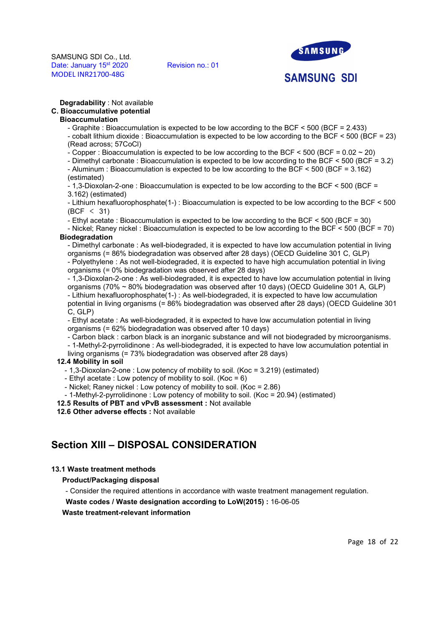

**SAMSUNG SDI** 

#### Degradability : Not available

# C. Bioaccumulative potential

# Bioaccumulation

- Graphite : Bioaccumulation is expected to be low according to the BCF < 500 (BCF = 2.433)

- cobalt lithium dioxide : Bioaccumulation is expected to be low according to the BCF < 500 (BCF = 23) (Read across; 57CoCl)
- Copper : Bioaccumulation is expected to be low according to the BCF  $\leq 500$  (BCF  $\equiv 0.02 \approx 20$ )
- Dimethyl carbonate : Bioaccumulation is expected to be low according to the BCF < 500 (BCF = 3.2)
- Aluminum : Bioaccumulation is expected to be low according to the BCF < 500 (BCF = 3.162) (estimated)

- 1,3-Dioxolan-2-one : Bioaccumulation is expected to be low according to the BCF < 500 (BCF = 3.162) (estimated)

- Lithium hexafluorophosphate(1-) : Bioaccumulation is expected to be low according to the BCF < 500 (BCF < 31)

- Ethyl acetate : Bioaccumulation is expected to be low according to the BCF < 500 (BCF = 30)

- Nickel; Raney nickel : Bioaccumulation is expected to be low according to the BCF < 500 (BCF = 70) Biodegradation

- Dimethyl carbonate : As well-biodegraded, it is expected to have low accumulation potential in living organisms (= 86% biodegradation was observed after 28 days) (OECD Guideline 301 C, GLP) - Polyethylene : As not well-biodegraded, it is expected to have high accumulation potential in living organisms (= 0% biodegradation was observed after 28 days)

- 1,3-Dioxolan-2-one : As well-biodegraded, it is expected to have low accumulation potential in living organisms (70% ~ 80% biodegradation was observed after 10 days) (OECD Guideline 301 A, GLP) - Lithium hexafluorophosphate(1-) : As well-biodegraded, it is expected to have low accumulation potential in living organisms (= 86% biodegradation was observed after 28 days) (OECD Guideline 301 C, GLP)

- Ethyl acetate : As well-biodegraded, it is expected to have low accumulation potential in living organisms (= 62% biodegradation was observed after 10 days)

- Carbon black : carbon black is an inorganic substance and will not biodegraded by microorganisms.

- 1-Methyl-2-pyrrolidinone : As well-biodegraded, it is expected to have low accumulation potential in

living organisms (= 73% biodegradation was observed after 28 days)

# 12.4 Mobility in soil

- 1,3-Dioxolan-2-one : Low potency of mobility to soil. (Koc = 3.219) (estimated)

- Ethyl acetate : Low potency of mobility to soil. (Koc =  $6$ )

- Nickel; Raney nickel : Low potency of mobility to soil. (Koc = 2.86)

- 1-Methyl-2-pyrrolidinone : Low potency of mobility to soil. (Koc = 20.94) (estimated)

12.5 Results of PBT and vPvB assessment : Not available

12.6 Other adverse effects : Not available

# Section XIII – DISPOSAL CONSIDERATION

## 13.1 Waste treatment methods

## Product/Packaging disposal

- Consider the required attentions in accordance with waste treatment management regulation.

Waste codes / Waste designation according to LoW(2015) : 16-06-05

## Waste treatment-relevant information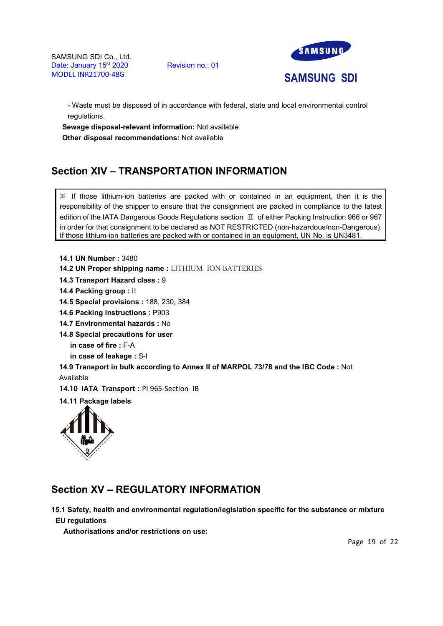SAMSUNG SDI Co., Ltd.<br>Date: January 15<sup>st</sup> 2020 Revision no.: 01 Date: January 15<sup>st</sup> 2020 MODEL INR21700-48G



- Waste must be disposed of in accordance with federal, state and local environmental control regulations.

Sewage disposal-relevant information: Not available Other disposal recommendations: Not available

# Section XIV – TRANSPORTATION INFORMATION

 $\mathbb X$  If those lithium-ion batteries are packed with or contained in an equipment, then it is the responsibility of the shipper to ensure that the consignment are packed in compliance to the latest edition of the IATA Dangerous Goods Regulations section  $\text{II}$  of either Packing Instruction 966 or 967 in order for that consignment to be declared as NOT RESTRICTED (non-hazardous/non-Dangerous). If those lithium-ion batteries are packed with or contained in an equipment, UN No. is UN3481.

14.1 UN Number : 3480

14.2 UN Proper shipping name : LITHIUM ION BATTERIES

14.3 Transport Hazard class : 9

14.4 Packing group : II

14.5 Special provisions : 188, 230, 384

14.6 Packing instructions : P903

14.7 Environmental hazards : No

14.8 Special precautions for user

in case of fire : F-A

in case of leakage : S-I

14.9 Transport in bulk according to Annex II of MARPOL 73/78 and the IBC Code : Not Available

14.10 IATA Transport : PI 965-Section IB

14.11 Package labels



# Section XV – REGULATORY INFORMATION

15.1 Safety, health and environmental regulation/legislation specific for the substance or mixture EU regulations

Authorisations and/or restrictions on use:

Page 19 of 22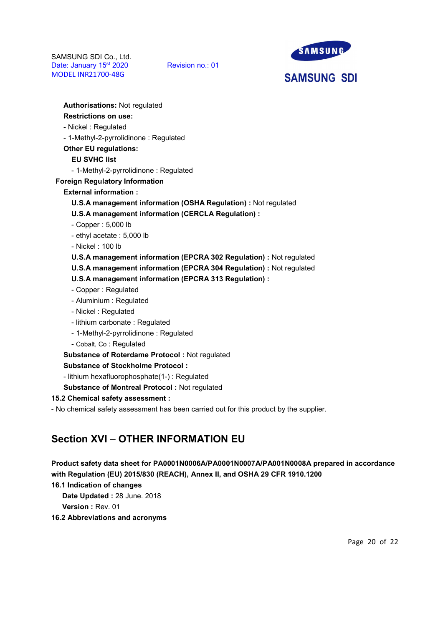

**SAMSUNG SDI** 

Authorisations: Not regulated Restrictions on use: - Nickel : Regulated - 1-Methyl-2-pyrrolidinone : Regulated Other EU regulations: EU SVHC list - 1-Methyl-2-pyrrolidinone : Regulated Foreign Regulatory Information External information : U.S.A management information (OSHA Regulation) : Not regulated U.S.A management information (CERCLA Regulation) : - Copper : 5,000 lb - ethyl acetate : 5,000 lb - Nickel : 100 lb U.S.A management information (EPCRA 302 Regulation) : Not regulated U.S.A management information (EPCRA 304 Regulation) : Not regulated U.S.A management information (EPCRA 313 Regulation) : - Copper : Regulated - Aluminium : Regulated - Nickel : Regulated - lithium carbonate : Regulated - 1-Methyl-2-pyrrolidinone : Regulated - Cobalt, Co : Regulated Substance of Roterdame Protocol : Not regulated Substance of Stockholme Protocol :

- lithium hexafluorophosphate(1-) : Regulated

Substance of Montreal Protocol : Not regulated

15.2 Chemical safety assessment :

- No chemical safety assessment has been carried out for this product by the supplier.

# Section XVI – OTHER INFORMATION EU

Product safety data sheet for PA0001N0006A/PA0001N0007A/PA001N0008A prepared in accordance with Regulation (EU) 2015/830 (REACH), Annex II, and OSHA 29 CFR 1910.1200

16.1 Indication of changes

Date Updated : 28 June. 2018

Version : Rev. 01

16.2 Abbreviations and acronyms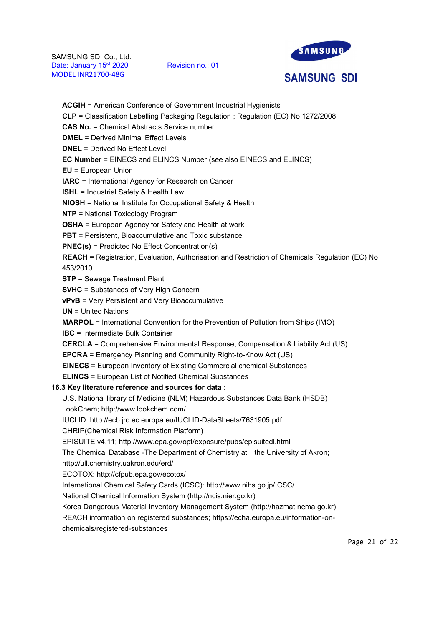

**SAMSUNG SDI** 

# ACGIH = American Conference of Government Industrial Hygienists CLP = Classification Labelling Packaging Regulation ; Regulation (EC) No 1272/2008 CAS No. = Chemical Abstracts Service number DMEL = Derived Minimal Effect Levels DNEL = Derived No Effect Level EC Number = EINECS and ELINCS Number (see also EINECS and ELINCS) EU = European Union IARC = International Agency for Research on Cancer ISHL = Industrial Safety & Health Law NIOSH = National Institute for Occupational Safety & Health NTP = National Toxicology Program OSHA = European Agency for Safety and Health at work **PBT** = Persistent, Bioaccumulative and Toxic substance PNEC(s) = Predicted No Effect Concentration(s) REACH = Registration, Evaluation, Authorisation and Restriction of Chemicals Regulation (EC) No 453/2010 STP = Sewage Treatment Plant SVHC = Substances of Very High Concern vPvB = Very Persistent and Very Bioaccumulative UN = United Nations MARPOL = International Convention for the Prevention of Pollution from Ships (IMO) IBC = Intermediate Bulk Container CERCLA = Comprehensive Environmental Response, Compensation & Liability Act (US) EPCRA = Emergency Planning and Community Right-to-Know Act (US) EINECS = European Inventory of Existing Commercial chemical Substances ELINCS = European List of Notified Chemical Substances 16.3 Key literature reference and sources for data :

U.S. National library of Medicine (NLM) Hazardous Substances Data Bank (HSDB) LookChem; http://www.lookchem.com/

IUCLID: http://ecb.jrc.ec.europa.eu/IUCLID-DataSheets/7631905.pdf

CHRIP(Chemical Risk Information Platform)

EPISUITE v4.11; http://www.epa.gov/opt/exposure/pubs/episuitedl.html

The Chemical Database -The Department of Chemistry at the University of Akron;

http://ull.chemistry.uakron.edu/erd/

ECOTOX: http://cfpub.epa.gov/ecotox/

International Chemical Safety Cards (ICSC): http://www.nihs.go.jp/ICSC/

National Chemical Information System (http://ncis.nier.go.kr)

Korea Dangerous Material Inventory Management System (http://hazmat.nema.go.kr)

REACH information on registered substances; https://echa.europa.eu/information-on-

chemicals/registered-substances

Page 21 of 22